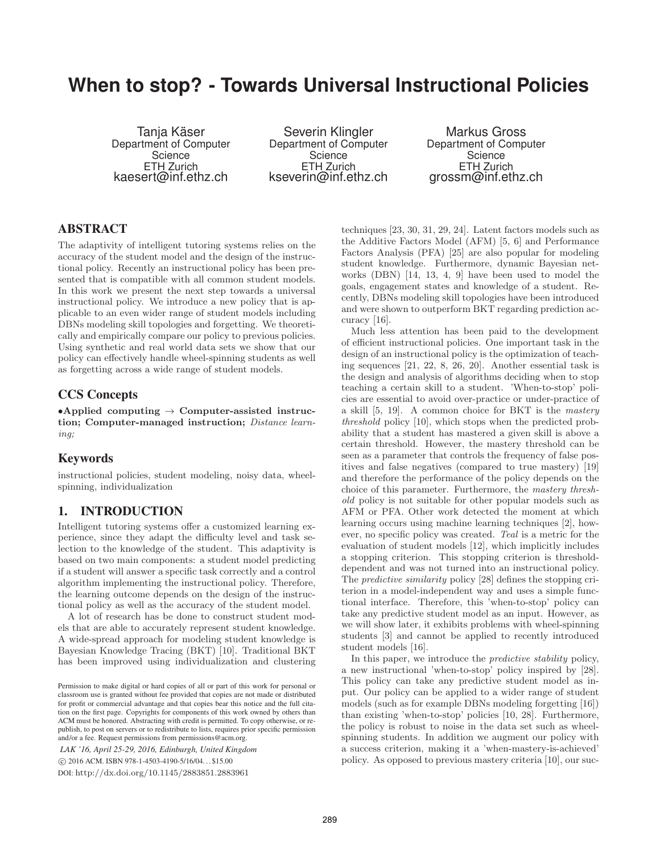# **When to stop? - Towards Universal Instructional Policies**

Tanja Käser Department of Computer Science ETH Zurich kaesert@inf.ethz.ch

Severin Klingler Department of Computer Science ETH Zurich kseverin@inf.ethz.ch

Markus Gross Department of Computer Science ETH Zurich grossm@inf.ethz.ch

# ABSTRACT

The adaptivity of intelligent tutoring systems relies on the accuracy of the student model and the design of the instructional policy. Recently an instructional policy has been presented that is compatible with all common student models. In this work we present the next step towards a universal instructional policy. We introduce a new policy that is applicable to an even wider range of student models including DBNs modeling skill topologies and forgetting. We theoretically and empirically compare our policy to previous policies. Using synthetic and real world data sets we show that our policy can effectively handle wheel-spinning students as well as forgetting across a wide range of student models.

### CCS Concepts

•Applied computing  $\rightarrow$  Computer-assisted instruction; Computer-managed instruction; Distance learning;

# Keywords

instructional policies, student modeling, noisy data, wheelspinning, individualization

# 1. INTRODUCTION

Intelligent tutoring systems offer a customized learning experience, since they adapt the difficulty level and task selection to the knowledge of the student. This adaptivity is based on two main components: a student model predicting if a student will answer a specific task correctly and a control algorithm implementing the instructional policy. Therefore, the learning outcome depends on the design of the instructional policy as well as the accuracy of the student model.

A lot of research has be done to construct student models that are able to accurately represent student knowledge. A wide-spread approach for modeling student knowledge is Bayesian Knowledge Tracing (BKT) [10]. Traditional BKT has been improved using individualization and clustering

*LAK '16, April 25-29, 2016, Edinburgh, United Kingdom* c 2016 ACM. ISBN 978-1-4503-4190-5/16/04. . . \$15.00

DOI: http://dx.doi.org/10.1145/2883851.2883961

techniques [23, 30, 31, 29, 24]. Latent factors models such as the Additive Factors Model (AFM) [5, 6] and Performance Factors Analysis (PFA) [25] are also popular for modeling student knowledge. Furthermore, dynamic Bayesian networks (DBN) [14, 13, 4, 9] have been used to model the goals, engagement states and knowledge of a student. Recently, DBNs modeling skill topologies have been introduced and were shown to outperform BKT regarding prediction accuracy [16].

Much less attention has been paid to the development of efficient instructional policies. One important task in the design of an instructional policy is the optimization of teaching sequences [21, 22, 8, 26, 20]. Another essential task is the design and analysis of algorithms deciding when to stop teaching a certain skill to a student. 'When-to-stop' policies are essential to avoid over-practice or under-practice of a skill [5, 19]. A common choice for BKT is the mastery threshold policy [10], which stops when the predicted probability that a student has mastered a given skill is above a certain threshold. However, the mastery threshold can be seen as a parameter that controls the frequency of false positives and false negatives (compared to true mastery) [19] and therefore the performance of the policy depends on the choice of this parameter. Furthermore, the mastery threshold policy is not suitable for other popular models such as AFM or PFA. Other work detected the moment at which learning occurs using machine learning techniques [2], however, no specific policy was created. Teal is a metric for the evaluation of student models [12], which implicitly includes a stopping criterion. This stopping criterion is thresholddependent and was not turned into an instructional policy. The predictive similarity policy [28] defines the stopping criterion in a model-independent way and uses a simple functional interface. Therefore, this 'when-to-stop' policy can take any predictive student model as an input. However, as we will show later, it exhibits problems with wheel-spinning students [3] and cannot be applied to recently introduced student models [16].

In this paper, we introduce the predictive stability policy, a new instructional 'when-to-stop' policy inspired by [28]. This policy can take any predictive student model as input. Our policy can be applied to a wider range of student models (such as for example DBNs modeling forgetting [16]) than existing 'when-to-stop' policies [10, 28]. Furthermore, the policy is robust to noise in the data set such as wheelspinning students. In addition we augment our policy with a success criterion, making it a 'when-mastery-is-achieved' policy. As opposed to previous mastery criteria [10], our suc-

Permission to make digital or hard copies of all or part of this work for personal or classroom use is granted without fee provided that copies are not made or distributed for profit or commercial advantage and that copies bear this notice and the full citation on the first page. Copyrights for components of this work owned by others than ACM must be honored. Abstracting with credit is permitted. To copy otherwise, or republish, to post on servers or to redistribute to lists, requires prior specific permission and/or a fee. Request permissions from permissions@acm.org.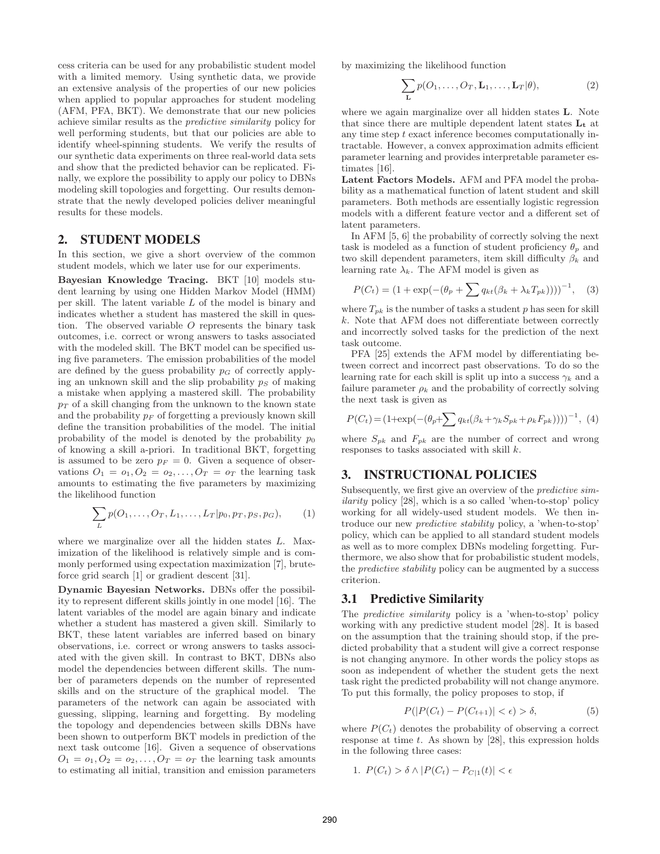cess criteria can be used for any probabilistic student model with a limited memory. Using synthetic data, we provide an extensive analysis of the properties of our new policies when applied to popular approaches for student modeling (AFM, PFA, BKT). We demonstrate that our new policies achieve similar results as the predictive similarity policy for well performing students, but that our policies are able to identify wheel-spinning students. We verify the results of our synthetic data experiments on three real-world data sets and show that the predicted behavior can be replicated. Finally, we explore the possibility to apply our policy to DBNs modeling skill topologies and forgetting. Our results demonstrate that the newly developed policies deliver meaningful results for these models.

### 2. STUDENT MODELS

In this section, we give a short overview of the common student models, which we later use for our experiments.

Bayesian Knowledge Tracing. BKT [10] models student learning by using one Hidden Markov Model (HMM) per skill. The latent variable L of the model is binary and indicates whether a student has mastered the skill in question. The observed variable O represents the binary task outcomes, i.e. correct or wrong answers to tasks associated with the modeled skill. The BKT model can be specified using five parameters. The emission probabilities of the model are defined by the guess probability  $p<sub>G</sub>$  of correctly applying an unknown skill and the slip probability  $p<sub>S</sub>$  of making a mistake when applying a mastered skill. The probability  $p_T$  of a skill changing from the unknown to the known state and the probability  $p_F$  of forgetting a previously known skill define the transition probabilities of the model. The initial probability of the model is denoted by the probability  $p_0$ of knowing a skill a-priori. In traditional BKT, forgetting is assumed to be zero  $p_F = 0$ . Given a sequence of observations  $O_1 = o_1, O_2 = o_2, \ldots, O_T = o_T$  the learning task amounts to estimating the five parameters by maximizing the likelihood function

$$
\sum_{L} p(O_1, \ldots, O_T, L_1, \ldots, L_T | p_0, p_T, p_S, p_G), \qquad (1)
$$

where we marginalize over all the hidden states L. Maximization of the likelihood is relatively simple and is commonly performed using expectation maximization [7], bruteforce grid search [1] or gradient descent [31].

Dynamic Bayesian Networks. DBNs offer the possibility to represent different skills jointly in one model [16]. The latent variables of the model are again binary and indicate whether a student has mastered a given skill. Similarly to BKT, these latent variables are inferred based on binary observations, i.e. correct or wrong answers to tasks associated with the given skill. In contrast to BKT, DBNs also model the dependencies between different skills. The number of parameters depends on the number of represented skills and on the structure of the graphical model. The parameters of the network can again be associated with guessing, slipping, learning and forgetting. By modeling the topology and dependencies between skills DBNs have been shown to outperform BKT models in prediction of the next task outcome [16]. Given a sequence of observations  $O_1 = o_1, O_2 = o_2, \ldots, O_T = o_T$  the learning task amounts to estimating all initial, transition and emission parameters

by maximizing the likelihood function

$$
\sum_{\mathbf{L}} p(O_1, \dots, O_T, \mathbf{L}_1, \dots, \mathbf{L}_T | \theta), \tag{2}
$$

where we again marginalize over all hidden states L. Note that since there are multiple dependent latent states  $L_t$  at any time step  $t$  exact inference becomes computationally intractable. However, a convex approximation admits efficient parameter learning and provides interpretable parameter estimates [16].

Latent Factors Models. AFM and PFA model the probability as a mathematical function of latent student and skill parameters. Both methods are essentially logistic regression models with a different feature vector and a different set of latent parameters.

In AFM [5, 6] the probability of correctly solving the next task is modeled as a function of student proficiency  $\theta_p$  and two skill dependent parameters, item skill difficulty  $\beta_k$  and learning rate  $\lambda_k$ . The AFM model is given as

$$
P(C_t) = (1 + \exp(-(\theta_p + \sum q_{kt}(\beta_k + \lambda_k T_{pk}))))^{-1}, \quad (3)
$$

where  $T_{pk}$  is the number of tasks a student p has seen for skill k. Note that AFM does not differentiate between correctly and incorrectly solved tasks for the prediction of the next task outcome.

PFA [25] extends the AFM model by differentiating between correct and incorrect past observations. To do so the learning rate for each skill is split up into a success  $\gamma_k$  and a failure parameter  $\rho_k$  and the probability of correctly solving the next task is given as

$$
P(C_t) = (1 + \exp(-(\theta_p + \sum q_{kt}(\beta_k + \gamma_k S_{pk} + \rho_k F_{pk}))))^{-1}, (4)
$$

where  $S_{pk}$  and  $F_{pk}$  are the number of correct and wrong responses to tasks associated with skill  $k$ .

# 3. INSTRUCTIONAL POLICIES

Subsequently, we first give an overview of the predictive similarity policy [28], which is a so called 'when-to-stop' policy working for all widely-used student models. We then introduce our new predictive stability policy, a 'when-to-stop' policy, which can be applied to all standard student models as well as to more complex DBNs modeling forgetting. Furthermore, we also show that for probabilistic student models, the predictive stability policy can be augmented by a success criterion.

#### 3.1 Predictive Similarity

The predictive similarity policy is a 'when-to-stop' policy working with any predictive student model [28]. It is based on the assumption that the training should stop, if the predicted probability that a student will give a correct response is not changing anymore. In other words the policy stops as soon as independent of whether the student gets the next task right the predicted probability will not change anymore. To put this formally, the policy proposes to stop, if

$$
P(|P(Ct) - P(Ct+1)| < \epsilon) > \delta,
$$
\n
$$
(5)
$$

where  $P(C_t)$  denotes the probability of observing a correct response at time  $t$ . As shown by [28], this expression holds in the following three cases:

1. 
$$
P(C_t) > \delta \land |P(C_t) - P_{C|1}(t)| < \epsilon
$$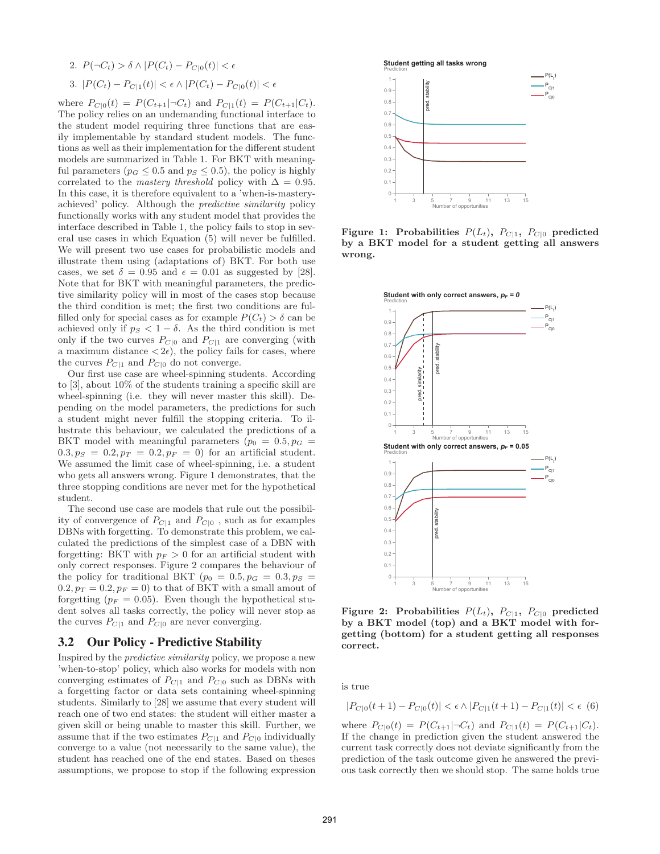2.  $P(\neg C_t) > \delta \wedge |P(C_t) - P_{C|0}(t)| < \epsilon$ 3.  $|P(C_t) - P_{C|1}(t)| < \epsilon \wedge |P(C_t) - P_{C|0}(t)| < \epsilon$ 

where  $P_{C|0}(t) = P(C_{t+1} | \neg C_t)$  and  $P_{C|1}(t) = P(C_{t+1} | C_t)$ . The policy relies on an undemanding functional interface to the student model requiring three functions that are easily implementable by standard student models. The functions as well as their implementation for the different student models are summarized in Table 1. For BKT with meaningful parameters ( $p_G < 0.5$  and  $p_S < 0.5$ ), the policy is highly correlated to the mastery threshold policy with  $\Delta = 0.95$ . In this case, it is therefore equivalent to a 'when-is-masteryachieved' policy. Although the predictive similarity policy functionally works with any student model that provides the interface described in Table 1, the policy fails to stop in several use cases in which Equation (5) will never be fulfilled. We will present two use cases for probabilistic models and illustrate them using (adaptations of) BKT. For both use cases, we set  $\delta = 0.95$  and  $\epsilon = 0.01$  as suggested by [28]. Note that for BKT with meaningful parameters, the predictive similarity policy will in most of the cases stop because the third condition is met; the first two conditions are fulfilled only for special cases as for example  $P(C_t) > \delta$  can be achieved only if  $p_S < 1 - \delta$ . As the third condition is met only if the two curves  $P_{C|0}$  and  $P_{C|1}$  are converging (with a maximum distance  $\langle 2\epsilon \rangle$ , the policy fails for cases, where the curves  $P_{C|1}$  and  $P_{C|0}$  do not converge.

Our first use case are wheel-spinning students. According to [3], about 10% of the students training a specific skill are wheel-spinning (i.e. they will never master this skill). Depending on the model parameters, the predictions for such a student might never fulfill the stopping criteria. To illustrate this behaviour, we calculated the predictions of a BKT model with meaningful parameters  $(p_0 = 0.5, p_G =$  $0.3, p_S = 0.2, p_T = 0.2, p_F = 0$  for an artificial student. We assumed the limit case of wheel-spinning, i.e. a student who gets all answers wrong. Figure 1 demonstrates, that the three stopping conditions are never met for the hypothetical student.

The second use case are models that rule out the possibility of convergence of  $P_{C|1}$  and  $P_{C|0}$ , such as for examples DBNs with forgetting. To demonstrate this problem, we calculated the predictions of the simplest case of a DBN with forgetting: BKT with  $p_F > 0$  for an artificial student with only correct responses. Figure 2 compares the behaviour of the policy for traditional BKT ( $p_0 = 0.5, p_G = 0.3, p_S =$  $(0.2, p_T = 0.2, p_F = 0)$  to that of BKT with a small amout of forgetting ( $p_F = 0.05$ ). Even though the hypothetical student solves all tasks correctly, the policy will never stop as the curves  $P_{C|1}$  and  $P_{C|0}$  are never converging.

### 3.2 Our Policy - Predictive Stability

Inspired by the predictive similarity policy, we propose a new 'when-to-stop' policy, which also works for models with non converging estimates of  $P_{C|1}$  and  $P_{C|0}$  such as DBNs with a forgetting factor or data sets containing wheel-spinning students. Similarly to [28] we assume that every student will reach one of two end states: the student will either master a given skill or being unable to master this skill. Further, we assume that if the two estimates  $P_{C|1}$  and  $P_{C|0}$  individually converge to a value (not necessarily to the same value), the student has reached one of the end states. Based on theses assumptions, we propose to stop if the following expression



Figure 1: Probabilities  $P(L_t)$ ,  $P_{C|1}$ ,  $P_{C|0}$  predicted by a BKT model for a student getting all answers wrong.



Figure 2: Probabilities  $P(L_t)$ ,  $P_{C|1}$ ,  $P_{C|0}$  predicted by a BKT model (top) and a BKT model with forgetting (bottom) for a student getting all responses correct.

is true

$$
|P_{C|0}(t+1) - P_{C|0}(t)| < \epsilon \wedge |P_{C|1}(t+1) - P_{C|1}(t)| < \epsilon \tag{6}
$$

where  $P_{C|0}(t) = P(C_{t+1} | \neg C_t)$  and  $P_{C|1}(t) = P(C_{t+1} | C_t)$ . If the change in prediction given the student answered the current task correctly does not deviate significantly from the prediction of the task outcome given he answered the previous task correctly then we should stop. The same holds true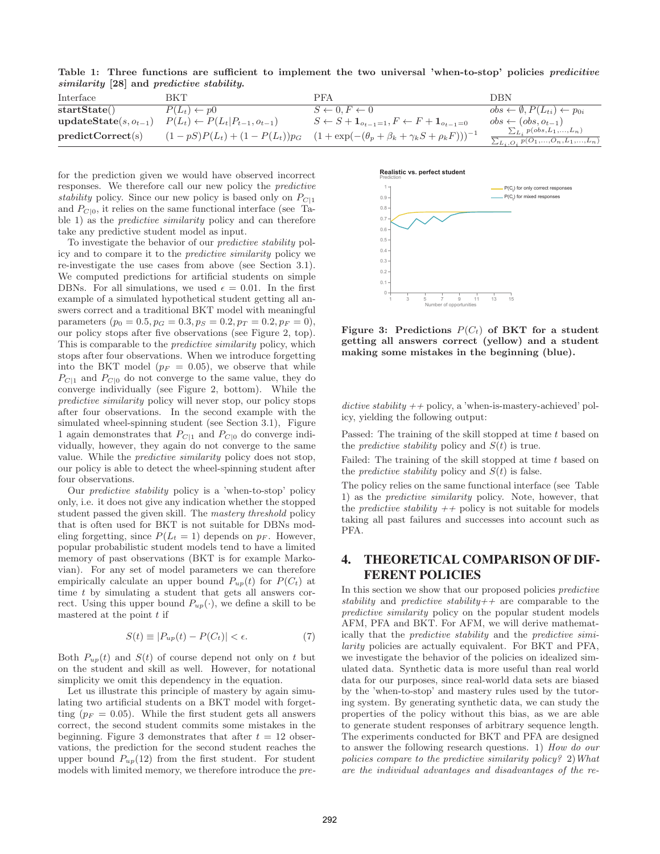Table 1: Three functions are sufficient to implement the two universal 'when-to-stop' policies predicitive similarity [28] and predictive stability.

| Interface                 | <b>BKT</b>                                    | PFA                                                              | DBN                                                                                              |
|---------------------------|-----------------------------------------------|------------------------------------------------------------------|--------------------------------------------------------------------------------------------------|
| startState()              | $P(L_t) \leftarrow p0$                        | $S \leftarrow 0, F \leftarrow 0$                                 | $obs \leftarrow \emptyset, P(L_{ti}) \leftarrow p_{0i}$                                          |
| $updateState(s, o_{t-1})$ | $P(L_t) \leftarrow P(L_t   P_{t-1}, o_{t-1})$ | $S \leftarrow S + 1_{o_{t-1}=1}, F \leftarrow F + 1_{o_{t-1}=0}$ | $obs \leftarrow (obs, o_{t-1})$                                                                  |
| predictCorrect(s)         | $(1-pS)P(L_t) + (1 - P(L_t))p_G$              | $(1 + \exp(-(\theta_p + \beta_k + \gamma_k S + \rho_k F)))^{-1}$ | $\sum_{L_i} p(obs, L_1, \ldots, L_n)$<br>$\sum_{L_i, O_i} p(O_1, \ldots, O_n, L_1, \ldots, L_n)$ |

for the prediction given we would have observed incorrect responses. We therefore call our new policy the predictive stability policy. Since our new policy is based only on  $P_{C|1}$ and  $P_{C|0}$ , it relies on the same functional interface (see Table 1) as the *predictive similarity* policy and can therefore take any predictive student model as input.

To investigate the behavior of our predictive stability policy and to compare it to the predictive similarity policy we re-investigate the use cases from above (see Section 3.1). We computed predictions for artificial students on simple DBNs. For all simulations, we used  $\epsilon = 0.01$ . In the first example of a simulated hypothetical student getting all answers correct and a traditional BKT model with meaningful parameters  $(p_0 = 0.5, p_G = 0.3, p_S = 0.2, p_T = 0.2, p_F = 0),$ our policy stops after five observations (see Figure 2, top). This is comparable to the *predictive similarity* policy, which stops after four observations. When we introduce forgetting into the BKT model ( $p_F = 0.05$ ), we observe that while  $P_{C|1}$  and  $P_{C|0}$  do not converge to the same value, they do converge individually (see Figure 2, bottom). While the predictive similarity policy will never stop, our policy stops after four observations. In the second example with the simulated wheel-spinning student (see Section 3.1), Figure 1 again demonstrates that  $P_{C|1}$  and  $P_{C|0}$  do converge individually, however, they again do not converge to the same value. While the predictive similarity policy does not stop, our policy is able to detect the wheel-spinning student after four observations.

Our predictive stability policy is a 'when-to-stop' policy only, i.e. it does not give any indication whether the stopped student passed the given skill. The mastery threshold policy that is often used for BKT is not suitable for DBNs modeling forgetting, since  $P(L_t = 1)$  depends on  $p_F$ . However, popular probabilistic student models tend to have a limited memory of past observations (BKT is for example Markovian). For any set of model parameters we can therefore empirically calculate an upper bound  $P_{up}(t)$  for  $P(C_t)$  at time  $t$  by simulating a student that gets all answers correct. Using this upper bound  $P_{up}(\cdot)$ , we define a skill to be mastered at the point  $t$  if

$$
S(t) \equiv |P_{up}(t) - P(C_t)| < \epsilon. \tag{7}
$$

Both  $P_{up}(t)$  and  $S(t)$  of course depend not only on t but on the student and skill as well. However, for notational simplicity we omit this dependency in the equation.

Let us illustrate this principle of mastery by again simulating two artificial students on a BKT model with forgetting ( $p_F = 0.05$ ). While the first student gets all answers correct, the second student commits some mistakes in the beginning. Figure 3 demonstrates that after  $t = 12$  observations, the prediction for the second student reaches the upper bound  $P_{up}(12)$  from the first student. For student models with limited memory, we therefore introduce the pre-





Figure 3: Predictions  $P(C_t)$  of BKT for a student getting all answers correct (yellow) and a student making some mistakes in the beginning (blue).

dictive stability  $++$  policy, a 'when-is-mastery-achieved' policy, yielding the following output:

Passed: The training of the skill stopped at time t based on the *predictive stability* policy and  $S(t)$  is true.

Failed: The training of the skill stopped at time t based on the *predictive stability* policy and  $S(t)$  is false.

The policy relies on the same functional interface (see Table 1) as the predictive similarity policy. Note, however, that the *predictive stability*  $++$  policy is not suitable for models taking all past failures and successes into account such as PFA.

# 4. THEORETICAL COMPARISON OF DIF-FERENT POLICIES

In this section we show that our proposed policies *predictive* stability and predictive stability  $x + \alpha$  are comparable to the predictive similarity policy on the popular student models AFM, PFA and BKT. For AFM, we will derive mathematically that the predictive stability and the predictive similarity policies are actually equivalent. For BKT and PFA, we investigate the behavior of the policies on idealized simulated data. Synthetic data is more useful than real world data for our purposes, since real-world data sets are biased by the 'when-to-stop' and mastery rules used by the tutoring system. By generating synthetic data, we can study the properties of the policy without this bias, as we are able to generate student responses of arbitrary sequence length. The experiments conducted for BKT and PFA are designed to answer the following research questions. 1) How do our policies compare to the predictive similarity policy? 2) What are the individual advantages and disadvantages of the re-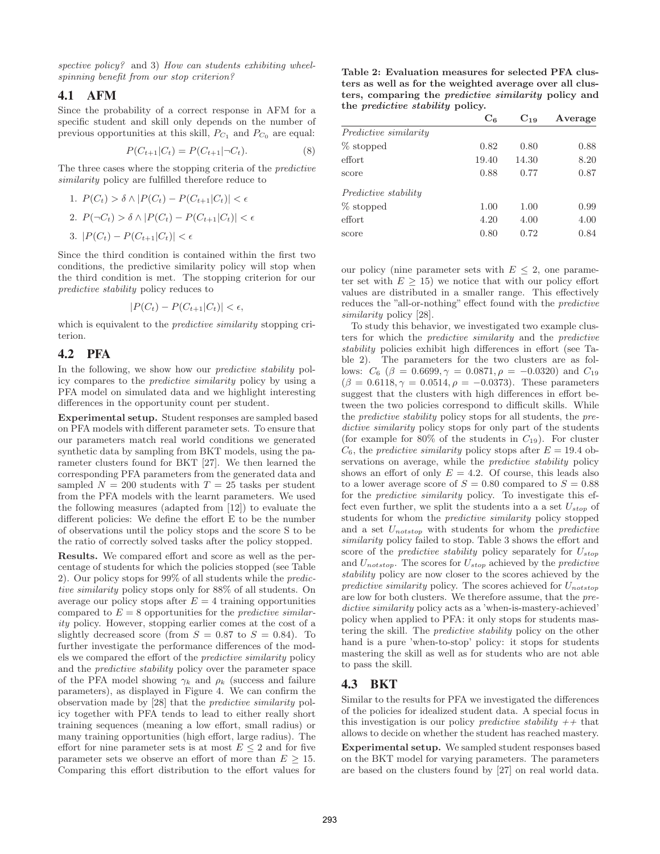spective policy? and 3) How can students exhibiting wheelspinning benefit from our stop criterion?

### 4.1 AFM

Since the probability of a correct response in AFM for a specific student and skill only depends on the number of previous opportunities at this skill,  $P_{C_1}$  and  $P_{C_0}$  are equal:

$$
P(C_{t+1}|C_t) = P(C_{t+1}|\neg C_t). \tag{8}
$$

The three cases where the stopping criteria of the *predictive* similarity policy are fulfilled therefore reduce to

1. 
$$
P(C_t) > \delta \wedge |P(C_t) - P(C_{t+1}|C_t)| < \epsilon
$$

$$
2. \ P(\neg C_t) > \delta \land |P(C_t) - P(C_{t+1}|C_t)| < \epsilon
$$

3.  $|P(C_t) - P(C_{t+1}|C_t)| < \epsilon$ 

Since the third condition is contained within the first two conditions, the predictive similarity policy will stop when the third condition is met. The stopping criterion for our predictive stability policy reduces to

$$
|P(C_t) - P(C_{t+1}|C_t)| < \epsilon,
$$

which is equivalent to the *predictive similarity* stopping criterion.

### 4.2 PFA

In the following, we show how our *predictive stability* policy compares to the predictive similarity policy by using a PFA model on simulated data and we highlight interesting differences in the opportunity count per student.

Experimental setup. Student responses are sampled based on PFA models with different parameter sets. To ensure that our parameters match real world conditions we generated synthetic data by sampling from BKT models, using the parameter clusters found for BKT [27]. We then learned the corresponding PFA parameters from the generated data and sampled  $N = 200$  students with  $T = 25$  tasks per student from the PFA models with the learnt parameters. We used the following measures (adapted from [12]) to evaluate the different policies: We define the effort E to be the number of observations until the policy stops and the score S to be the ratio of correctly solved tasks after the policy stopped.

Results. We compared effort and score as well as the percentage of students for which the policies stopped (see Table 2). Our policy stops for 99% of all students while the predictive similarity policy stops only for 88% of all students. On average our policy stops after  $E = 4$  training opportunities compared to  $E = 8$  opportunities for the *predictive similar*ity policy. However, stopping earlier comes at the cost of a slightly decreased score (from  $S = 0.87$  to  $S = 0.84$ ). To further investigate the performance differences of the models we compared the effort of the predictive similarity policy and the predictive stability policy over the parameter space of the PFA model showing  $\gamma_k$  and  $\rho_k$  (success and failure parameters), as displayed in Figure 4. We can confirm the observation made by [28] that the predictive similarity policy together with PFA tends to lead to either really short training sequences (meaning a low effort, small radius) or many training opportunities (high effort, large radius). The effort for nine parameter sets is at most  $E \leq 2$  and for five parameter sets we observe an effort of more than  $E \geq 15$ . Comparing this effort distribution to the effort values for

Table 2: Evaluation measures for selected PFA clusters as well as for the weighted average over all clusters, comparing the predictive similarity policy and the predictive stability policy.

|                              | $C_{\mathbf{6}}$ | $C_{19}$ | Average |
|------------------------------|------------------|----------|---------|
| <i>Predictive similarity</i> |                  |          |         |
| % stopped                    | 0.82             | 0.80     | 0.88    |
| effort                       | 19.40            | 14.30    | 8.20    |
| score                        | 0.88             | 0.77     | 0.87    |
| <i>Predictive stability</i>  |                  |          |         |
| % stopped                    | 1.00             | 1.00     | 0.99    |
| effort                       | 4.20             | 4.00     | 4.00    |
| score                        | 0.80             | 0.72     | 0.84    |

our policy (nine parameter sets with  $E \leq 2$ , one parameter set with  $E \geq 15$ ) we notice that with our policy effort values are distributed in a smaller range. This effectively reduces the "all-or-nothing" effect found with the predictive similarity policy [28].

To study this behavior, we investigated two example clusters for which the predictive similarity and the predictive stability policies exhibit high differences in effort (see Table 2). The parameters for the two clusters are as follows:  $C_6$  ( $\beta = 0.6699, \gamma = 0.0871, \rho = -0.0320$ ) and  $C_{19}$  $(\beta = 0.6118, \gamma = 0.0514, \rho = -0.0373)$ . These parameters suggest that the clusters with high differences in effort between the two policies correspond to difficult skills. While the predictive stability policy stops for all students, the predictive similarity policy stops for only part of the students (for example for  $80\%$  of the students in  $C_{19}$ ). For cluster  $C_6$ , the *predictive similarity* policy stops after  $E = 19.4$  observations on average, while the *predictive stability* policy shows an effort of only  $E = 4.2$ . Of course, this leads also to a lower average score of  $S = 0.80$  compared to  $S = 0.88$ for the predictive similarity policy. To investigate this effect even further, we split the students into a a set  $U_{stop}$  of students for whom the predictive similarity policy stopped and a set  $U_{notstop}$  with students for whom the *predictive* similarity policy failed to stop. Table 3 shows the effort and score of the *predictive stability* policy separately for  $U_{stop}$ and  $U_{notstop}$ . The scores for  $U_{stop}$  achieved by the *predictive* stability policy are now closer to the scores achieved by the predictive similarity policy. The scores achieved for  $U_{notstop}$ are low for both clusters. We therefore assume, that the predictive similarity policy acts as a 'when-is-mastery-achieved' policy when applied to PFA: it only stops for students mastering the skill. The predictive stability policy on the other hand is a pure 'when-to-stop' policy: it stops for students mastering the skill as well as for students who are not able to pass the skill.

### 4.3 BKT

Similar to the results for PFA we investigated the differences of the policies for idealized student data. A special focus in this investigation is our policy *predictive stability*  $++$  that allows to decide on whether the student has reached mastery.

Experimental setup. We sampled student responses based on the BKT model for varying parameters. The parameters are based on the clusters found by [27] on real world data.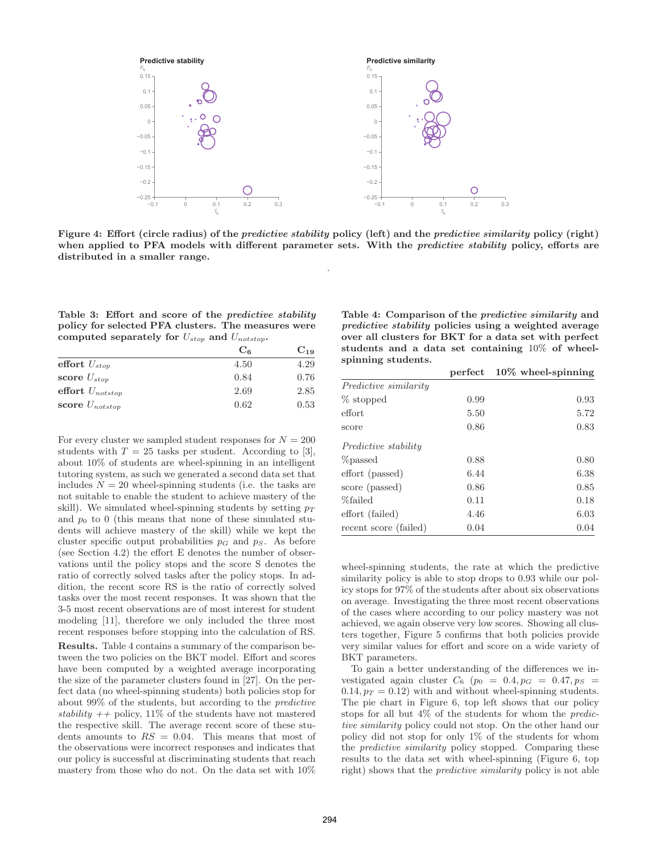

Figure 4: Effort (circle radius) of the *predictive stability* policy (left) and the *predictive similarity* policy (right) when applied to PFA models with different parameter sets. With the *predictive stability* policy, efforts are distributed in a smaller range.

.

| Table 3: Effort and score of the <i>predictive stability</i> |  |
|--------------------------------------------------------------|--|
| policy for selected PFA clusters. The measures were          |  |
| computed separately for $U_{stop}$ and $U_{notstop}$ .       |  |

|                      | $C_{6}$ | $C_{19}$ |
|----------------------|---------|----------|
| effort $U_{stop}$    | 4.50    | 4.29     |
| score $U_{stop}$     | 0.84    | 0.76     |
| effort $U_{notstop}$ | 2.69    | 2.85     |
| score $U_{notstop}$  | 0.62    | 0.53     |

For every cluster we sampled student responses for  $N = 200$ students with  $T = 25$  tasks per student. According to [3], about 10% of students are wheel-spinning in an intelligent tutoring system, as such we generated a second data set that includes  $N = 20$  wheel-spinning students (i.e. the tasks are not suitable to enable the student to achieve mastery of the skill). We simulated wheel-spinning students by setting  $p_T$ and  $p_0$  to 0 (this means that none of these simulated students will achieve mastery of the skill) while we kept the cluster specific output probabilities  $p<sub>G</sub>$  and  $p<sub>S</sub>$ . As before (see Section 4.2) the effort E denotes the number of observations until the policy stops and the score S denotes the ratio of correctly solved tasks after the policy stops. In addition, the recent score RS is the ratio of correctly solved tasks over the most recent responses. It was shown that the 3-5 most recent observations are of most interest for student modeling [11], therefore we only included the three most recent responses before stopping into the calculation of RS.

Results. Table 4 contains a summary of the comparison between the two policies on the BKT model. Effort and scores have been computed by a weighted average incorporating the size of the parameter clusters found in [27]. On the perfect data (no wheel-spinning students) both policies stop for about 99% of the students, but according to the predictive stability  $++$  policy, 11% of the students have not mastered the respective skill. The average recent score of these students amounts to  $RS = 0.04$ . This means that most of the observations were incorrect responses and indicates that our policy is successful at discriminating students that reach mastery from those who do not. On the data set with 10%

Table 4: Comparison of the predictive similarity and predictive stability policies using a weighted average over all clusters for BKT for a data set with perfect students and a data set containing 10% of wheelspinning students.

|                              |      | perfect $10\%$ wheel-spinning |
|------------------------------|------|-------------------------------|
| <i>Predictive similarity</i> |      |                               |
| % stopped                    | 0.99 | 0.93                          |
| effort                       | 5.50 | 5.72                          |
| score                        | 0.86 | 0.83                          |
| <i>Predictive stability</i>  |      |                               |
| <i>Zopassed</i>              | 0.88 | 0.80                          |
| effort (passed)              | 6.44 | 6.38                          |
| score (passed)               | 0.86 | 0.85                          |
| %failed                      | 0.11 | 0.18                          |
| effort (failed)              | 4.46 | 6.03                          |
| recent score (failed)        | 0.04 | 0.04                          |

wheel-spinning students, the rate at which the predictive similarity policy is able to stop drops to 0.93 while our policy stops for 97% of the students after about six observations on average. Investigating the three most recent observations of the cases where according to our policy mastery was not achieved, we again observe very low scores. Showing all clusters together, Figure 5 confirms that both policies provide very similar values for effort and score on a wide variety of BKT parameters.

To gain a better understanding of the differences we investigated again cluster  $C_6$  ( $p_0 = 0.4$ ,  $p_G = 0.47$ ,  $p_S =$  $0.14, p_T = 0.12$  with and without wheel-spinning students. The pie chart in Figure 6, top left shows that our policy stops for all but 4% of the students for whom the predictive similarity policy could not stop. On the other hand our policy did not stop for only 1% of the students for whom the predictive similarity policy stopped. Comparing these results to the data set with wheel-spinning (Figure 6, top right) shows that the predictive similarity policy is not able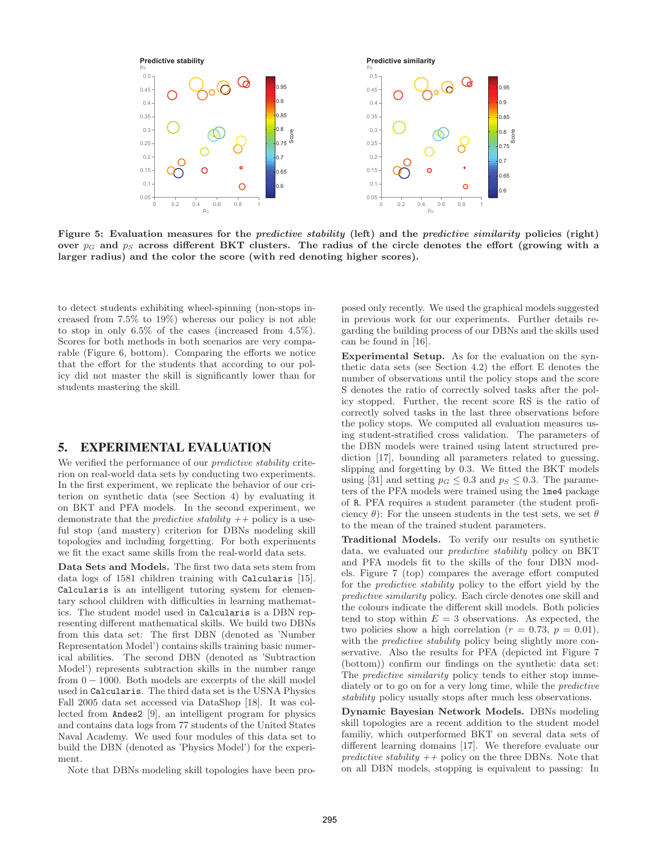

Figure 5: Evaluation measures for the *predictive stability* (left) and the *predictive similarity* policies (right) over  $p<sub>G</sub>$  and  $p<sub>S</sub>$  across different BKT clusters. The radius of the circle denotes the effort (growing with a larger radius) and the color the score (with red denoting higher scores).

to detect students exhibiting wheel-spinning (non-stops increased from 7.5% to 19%) whereas our policy is not able to stop in only 6.5% of the cases (increased from 4.5%). Scores for both methods in both scenarios are very comparable (Figure 6, bottom). Comparing the efforts we notice that the effort for the students that according to our policy did not master the skill is significantly lower than for students mastering the skill.

### 5. EXPERIMENTAL EVALUATION

We verified the performance of our *predictive stability* criterion on real-world data sets by conducting two experiments. In the first experiment, we replicate the behavior of our criterion on synthetic data (see Section 4) by evaluating it on BKT and PFA models. In the second experiment, we demonstrate that the *predictive stability*  $++$  policy is a useful stop (and mastery) criterion for DBNs modeling skill topologies and including forgetting. For both experiments we fit the exact same skills from the real-world data sets.

Data Sets and Models. The first two data sets stem from data logs of 1581 children training with Calcularis [15]. Calcularis is an intelligent tutoring system for elementary school children with difficulties in learning mathematics. The student model used in Calcularis is a DBN representing different mathematical skills. We build two DBNs from this data set: The first DBN (denoted as 'Number Representation Model') contains skills training basic numerical abilities. The second DBN (denoted as 'Subtraction Model') represents subtraction skills in the number range from  $0 - 1000$ . Both models are excerpts of the skill model used in Calcularis. The third data set is the USNA Physics Fall 2005 data set accessed via DataShop [18]. It was collected from Andes2 [9], an intelligent program for physics and contains data logs from 77 students of the United States Naval Academy. We used four modules of this data set to build the DBN (denoted as 'Physics Model') for the experiment.

Note that DBNs modeling skill topologies have been pro-

posed only recently. We used the graphical models suggested in previous work for our experiments. Further details regarding the building process of our DBNs and the skills used can be found in [16].

Experimental Setup. As for the evaluation on the synthetic data sets (see Section 4.2) the effort E denotes the number of observations until the policy stops and the score S denotes the ratio of correctly solved tasks after the policy stopped. Further, the recent score RS is the ratio of correctly solved tasks in the last three observations before the policy stops. We computed all evaluation measures using student-stratified cross validation. The parameters of the DBN models were trained using latent structured prediction [17], bounding all parameters related to guessing, slipping and forgetting by 0.3. We fitted the BKT models using [31] and setting  $p_G \leq 0.3$  and  $p_S \leq 0.3$ . The parameters of the PFA models were trained using the lme4 package of R. PFA requires a student parameter (the student proficiency  $\theta$ ): For the unseen students in the test sets, we set  $\theta$ to the mean of the trained student parameters.

Traditional Models. To verify our results on synthetic data, we evaluated our predictive stability policy on BKT and PFA models fit to the skills of the four DBN models. Figure 7 (top) compares the average effort computed for the predictive stability policy to the effort yield by the predictive similarity policy. Each circle denotes one skill and the colours indicate the different skill models. Both policies tend to stop within  $E = 3$  observations. As expected, the two policies show a high correlation  $(r = 0.73, p = 0.01)$ , with the *predictive stability* policy being slightly more conservative. Also the results for PFA (depicted int Figure 7 (bottom)) confirm our findings on the synthetic data set: The *predictive similarity* policy tends to either stop immediately or to go on for a very long time, while the predictive stability policy usually stops after much less observations.

Dynamic Bayesian Network Models. DBNs modeling skill topologies are a recent addition to the student model familiy, which outperformed BKT on several data sets of different learning domains [17]. We therefore evaluate our predictive stability  $++$  policy on the three DBNs. Note that on all DBN models, stopping is equivalent to passing: In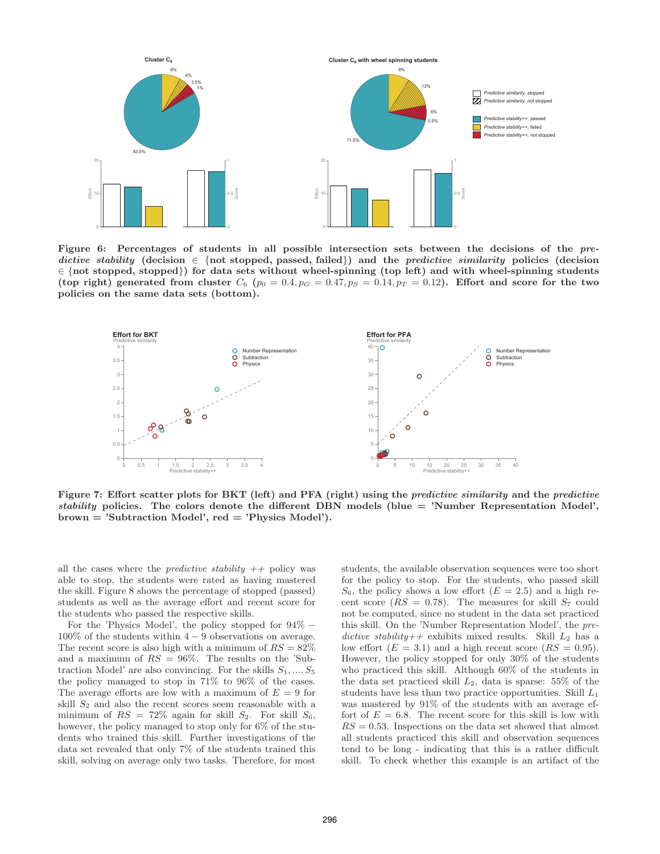

Figure 6: Percentages of students in all possible intersection sets between the decisions of the predictive stability (decision  $\in$  {not stopped, passed, failed}) and the *predictive similarity* policies (decision ∈ {not stopped, stopped}) for data sets without wheel-spinning (top left) and with wheel-spinning students (top right) generated from cluster  $C_6$  ( $p_0 = 0.4$ ,  $p_G = 0.47$ ,  $p_S = 0.14$ ,  $p_T = 0.12$ ). Effort and score for the two policies on the same data sets (bottom).



Figure 7: Effort scatter plots for BKT (left) and PFA (right) using the *predictive similarity* and the *predictive* stability policies. The colors denote the different DBN models (blue = 'Number Representation Model',  $brown = 'Subtraction Model', red = 'Physics Model').$ 

all the cases where the *predictive stability*  $++$  policy was able to stop, the students were rated as having mastered the skill. Figure 8 shows the percentage of stopped (passed) students as well as the average effort and recent score for the students who passed the respective skills.

For the 'Physics Model', the policy stopped for 94% −  $100\%$  of the students within  $4 - 9$  observations on average. The recent score is also high with a minimum of  $RS = 82\%$ and a maximum of  $RS = 96\%$ . The results on the 'Subtraction Model' are also convincing. For the skills  $S_1, ..., S_5$ the policy managed to stop in 71% to 96% of the cases. The average efforts are low with a maximum of  $E = 9$  for skill  $S_2$  and also the recent scores seem reasonable with a minimum of  $RS = 72\%$  again for skill  $S_2$ . For skill  $S_6$ , however, the policy managed to stop only for 6% of the students who trained this skill. Further investigations of the data set revealed that only 7% of the students trained this skill, solving on average only two tasks. Therefore, for most students, the available observation sequences were too short for the policy to stop. For the students, who passed skill  $S_6$ , the policy shows a low effort  $(E = 2.5)$  and a high recent score  $(RS = 0.78)$ . The measures for skill  $S_7$  could not be computed, since no student in the data set practiced this skill. On the 'Number Representation Model', the predictive stability + exhibits mixed results. Skill  $L_2$  has a low effort  $(E = 3.1)$  and a high recent score  $(RS = 0.95)$ . However, the policy stopped for only 30% of the students who practiced this skill. Although 60% of the students in the data set practiced skill  $L_2$ , data is sparse: 55% of the students have less than two practice opportunities. Skill  $L_1$ was mastered by 91% of the students with an average effort of  $E = 6.8$ . The recent score for this skill is low with  $RS = 0.53$ . Inspections on the data set showed that almost all students practiced this skill and observation sequences tend to be long - indicating that this is a rather difficult skill. To check whether this example is an artifact of the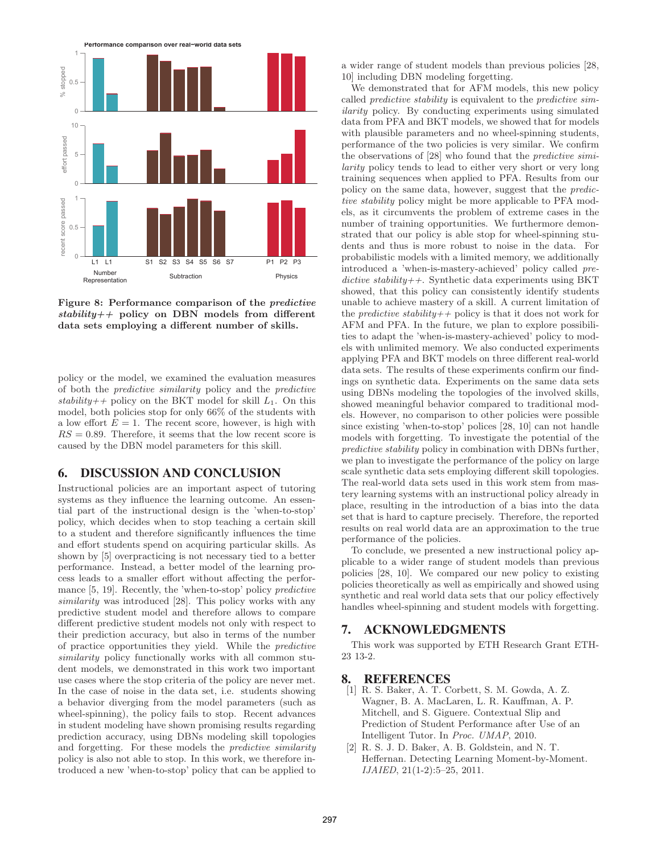

Figure 8: Performance comparison of the predictive  $stability++$  policy on DBN models from different data sets employing a different number of skills.

policy or the model, we examined the evaluation measures of both the predictive similarity policy and the predictive stability + policy on the BKT model for skill  $L_1$ . On this model, both policies stop for only 66% of the students with a low effort  $E = 1$ . The recent score, however, is high with  $RS = 0.89$ . Therefore, it seems that the low recent score is caused by the DBN model parameters for this skill.

### 6. DISCUSSION AND CONCLUSION

Instructional policies are an important aspect of tutoring systems as they influence the learning outcome. An essential part of the instructional design is the 'when-to-stop' policy, which decides when to stop teaching a certain skill to a student and therefore significantly influences the time and effort students spend on acquiring particular skills. As shown by [5] overpracticing is not necessary tied to a better performance. Instead, a better model of the learning process leads to a smaller effort without affecting the performance [5, 19]. Recently, the 'when-to-stop' policy predictive similarity was introduced [28]. This policy works with any predictive student model and therefore allows to compare different predictive student models not only with respect to their prediction accuracy, but also in terms of the number of practice opportunities they yield. While the predictive similarity policy functionally works with all common student models, we demonstrated in this work two important use cases where the stop criteria of the policy are never met. In the case of noise in the data set, i.e. students showing a behavior diverging from the model parameters (such as wheel-spinning), the policy fails to stop. Recent advances in student modeling have shown promising results regarding prediction accuracy, using DBNs modeling skill topologies and forgetting. For these models the predictive similarity policy is also not able to stop. In this work, we therefore introduced a new 'when-to-stop' policy that can be applied to

a wider range of student models than previous policies [28, 10] including DBN modeling forgetting.

We demonstrated that for AFM models, this new policy called predictive stability is equivalent to the predictive similarity policy. By conducting experiments using simulated data from PFA and BKT models, we showed that for models with plausible parameters and no wheel-spinning students, performance of the two policies is very similar. We confirm the observations of [28] who found that the predictive similarity policy tends to lead to either very short or very long training sequences when applied to PFA. Results from our policy on the same data, however, suggest that the predictive stability policy might be more applicable to PFA models, as it circumvents the problem of extreme cases in the number of training opportunities. We furthermore demonstrated that our policy is able stop for wheel-spinning students and thus is more robust to noise in the data. For probabilistic models with a limited memory, we additionally introduced a 'when-is-mastery-achieved' policy called pre $dictive stability++$ . Synthetic data experiments using BKT showed, that this policy can consistently identify students unable to achieve mastery of a skill. A current limitation of the *predictive stability* $+$  policy is that it does not work for AFM and PFA. In the future, we plan to explore possibilities to adapt the 'when-is-mastery-achieved' policy to models with unlimited memory. We also conducted experiments applying PFA and BKT models on three different real-world data sets. The results of these experiments confirm our findings on synthetic data. Experiments on the same data sets using DBNs modeling the topologies of the involved skills, showed meaningful behavior compared to traditional models. However, no comparison to other policies were possible since existing 'when-to-stop' polices [28, 10] can not handle models with forgetting. To investigate the potential of the predictive stability policy in combination with DBNs further, we plan to investigate the performance of the policy on large scale synthetic data sets employing different skill topologies. The real-world data sets used in this work stem from mastery learning systems with an instructional policy already in place, resulting in the introduction of a bias into the data set that is hard to capture precisely. Therefore, the reported results on real world data are an approximation to the true performance of the policies.

To conclude, we presented a new instructional policy applicable to a wider range of student models than previous policies [28, 10]. We compared our new policy to existing policies theoretically as well as empirically and showed using synthetic and real world data sets that our policy effectively handles wheel-spinning and student models with forgetting.

# 7. ACKNOWLEDGMENTS

This work was supported by ETH Research Grant ETH-23 13-2.

#### 8. REFERENCES

- [1] R. S. Baker, A. T. Corbett, S. M. Gowda, A. Z. Wagner, B. A. MacLaren, L. R. Kauffman, A. P. Mitchell, and S. Giguere. Contextual Slip and Prediction of Student Performance after Use of an Intelligent Tutor. In Proc. UMAP, 2010.
- [2] R. S. J. D. Baker, A. B. Goldstein, and N. T. Heffernan. Detecting Learning Moment-by-Moment. IJAIED, 21(1-2):5–25, 2011.